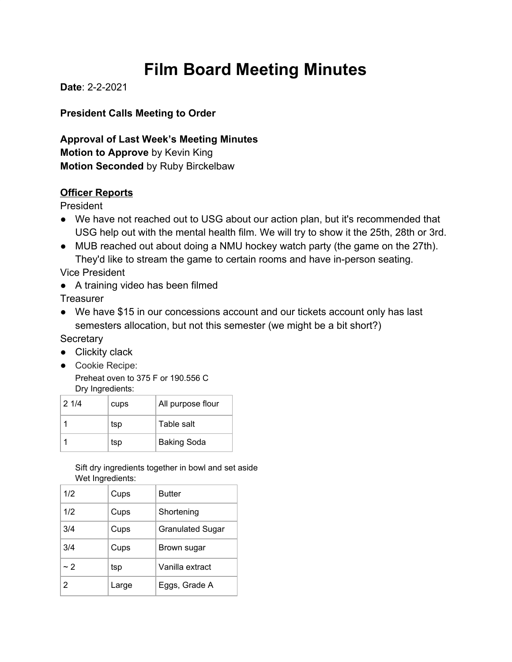# **Film Board Meeting Minutes**

**Date**: 2-2-2021

**President Calls Meeting to Order**

**Approval of Last Week's Meeting Minutes Motion to Approve** by Kevin King **Motion Seconded** by Ruby Birckelbaw

#### **Officer Reports**

President

- We have not reached out to USG about our action plan, but it's recommended that USG help out with the mental health film. We will try to show it the 25th, 28th or 3rd.
- MUB reached out about doing a NMU hockey watch party (the game on the 27th). They'd like to stream the game to certain rooms and have in-person seating.

Vice President

● A training video has been filmed

**Treasurer** 

● We have \$15 in our concessions account and our tickets account only has last semesters allocation, but not this semester (we might be a bit short?)

**Secretary** 

- Clickity clack
- Cookie Recipe: Preheat oven to 375 F or 190.556 C Dry Ingredients:

| 21/4 | cups | All purpose flour  |
|------|------|--------------------|
|      | tsp  | Table salt         |
|      | tsp  | <b>Baking Soda</b> |

Sift dry ingredients together in bowl and set aside Wet Ingredients:

| 1/2      | Cups  | <b>Butter</b>           |
|----------|-------|-------------------------|
| 1/2      | Cups  | Shortening              |
| 3/4      | Cups  | <b>Granulated Sugar</b> |
| 3/4      | Cups  | Brown sugar             |
| $\sim$ 2 | tsp   | Vanilla extract         |
| 2        | Large | Eggs, Grade A           |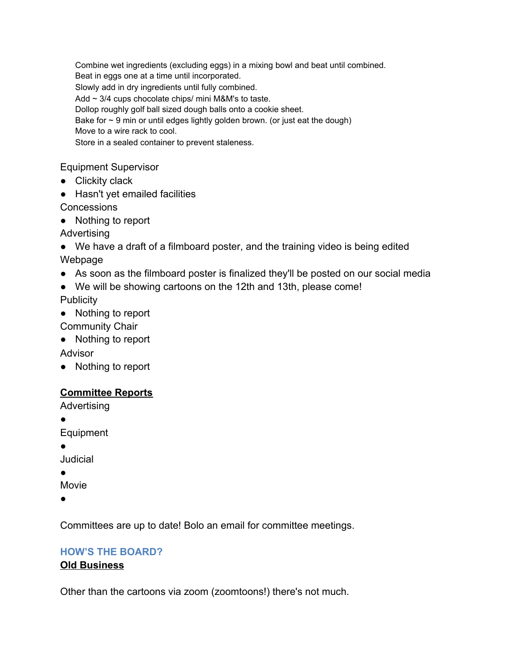Combine wet ingredients (excluding eggs) in a mixing bowl and beat until combined. Beat in eggs one at a time until incorporated. Slowly add in dry ingredients until fully combined. Add ~ 3/4 cups chocolate chips/ mini M&M's to taste. Dollop roughly golf ball sized dough balls onto a cookie sheet. Bake for  $\sim$  9 min or until edges lightly golden brown. (or just eat the dough) Move to a wire rack to cool. Store in a sealed container to prevent staleness.

Equipment Supervisor

- Clickity clack
- Hasn't yet emailed facilities
- **Concessions**
- Nothing to report
- Advertising
- We have a draft of a filmboard poster, and the training video is being edited Webpage
- As soon as the filmboard poster is finalized they'll be posted on our social media
- We will be showing cartoons on the 12th and 13th, please come!

**Publicity** 

● Nothing to report

Community Chair

● Nothing to report

Advisor

● Nothing to report

### **Committee Reports**

Advertising

●

Equipment

●

Judicial

●

Movie

●

Committees are up to date! Bolo an email for committee meetings.

### **HOW'S THE BOARD?**

### **Old Business**

Other than the cartoons via zoom (zoomtoons!) there's not much.